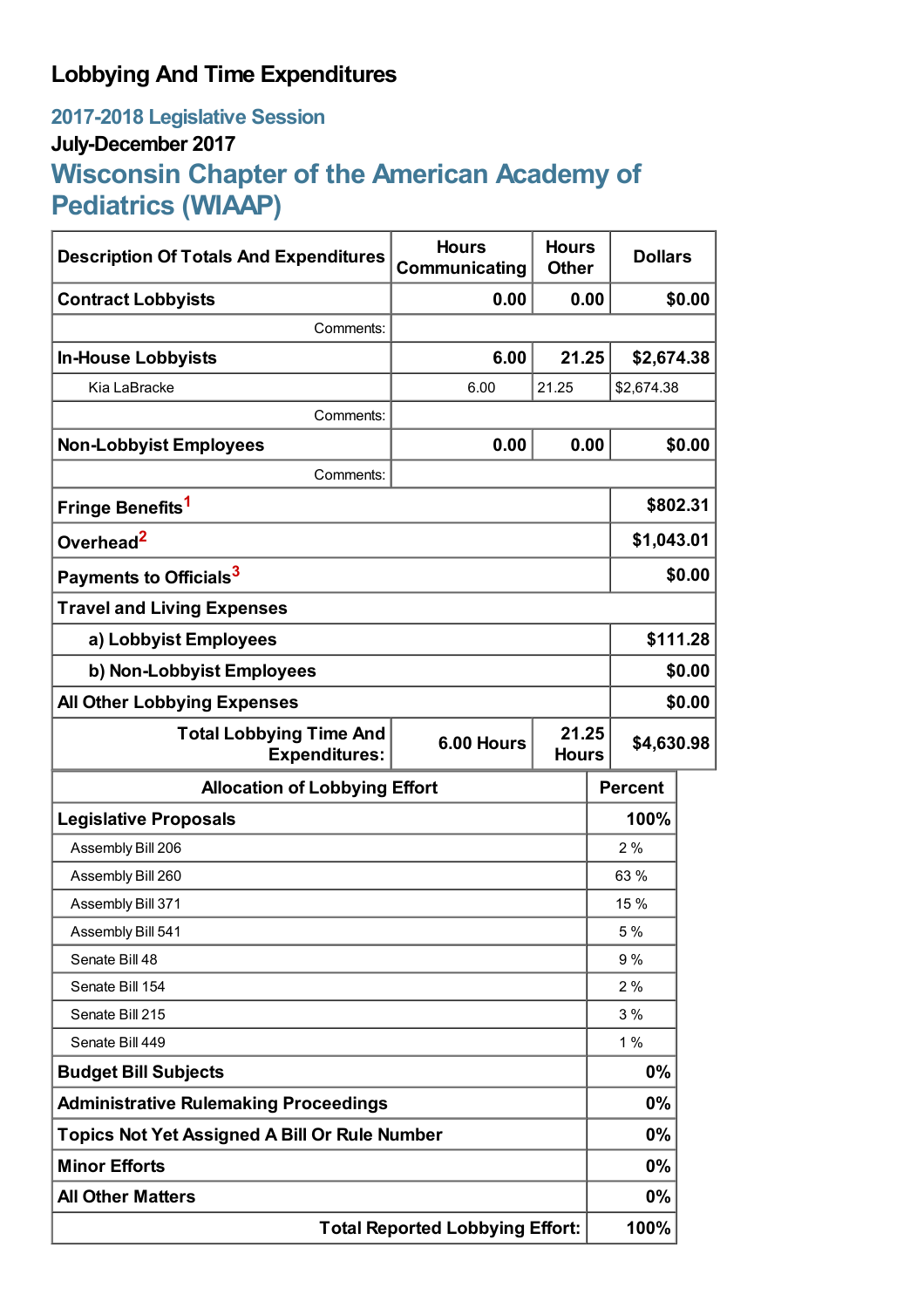## **Lobbying And Time Expenditures**

## **2017-2018 Legislative Session July-December 2017 Wisconsin Chapter of the American Academy of Pediatrics (WIAAP)**

| <b>Description Of Totals And Expenditures</b>          | <b>Hours</b><br>Communicating       | <b>Hours</b><br><b>Other</b> | <b>Dollars</b> |            |  |
|--------------------------------------------------------|-------------------------------------|------------------------------|----------------|------------|--|
| <b>Contract Lobbyists</b>                              | 0.00                                | 0.00                         |                | \$0.00     |  |
| Comments:                                              |                                     |                              |                |            |  |
| <b>In-House Lobbyists</b>                              | 6.00                                | 21.25                        | \$2,674.38     |            |  |
| Kia LaBracke                                           | 6.00                                | 21.25                        | \$2,674.38     |            |  |
| Comments:                                              |                                     |                              |                |            |  |
| <b>Non-Lobbyist Employees</b>                          | 0.00                                | 0.00                         |                | \$0.00     |  |
| Comments:                                              |                                     |                              |                |            |  |
| Fringe Benefits <sup>1</sup>                           |                                     |                              |                | \$802.31   |  |
| Overhead <sup>2</sup>                                  |                                     |                              |                | \$1,043.01 |  |
| Payments to Officials <sup>3</sup>                     |                                     |                              |                | \$0.00     |  |
| <b>Travel and Living Expenses</b>                      |                                     |                              |                |            |  |
| a) Lobbyist Employees                                  |                                     |                              |                | \$111.28   |  |
| b) Non-Lobbyist Employees                              |                                     |                              |                | \$0.00     |  |
| <b>All Other Lobbying Expenses</b>                     |                                     |                              |                | \$0.00     |  |
| <b>Total Lobbying Time And</b><br><b>Expenditures:</b> | 21.25<br>6.00 Hours<br><b>Hours</b> |                              | \$4,630.98     |            |  |
| <b>Allocation of Lobbying Effort</b>                   |                                     |                              | <b>Percent</b> |            |  |
| <b>Legislative Proposals</b>                           |                                     |                              | 100%           |            |  |
| Assembly Bill 206                                      |                                     |                              | 2%             |            |  |
| Assembly Bill 260                                      |                                     |                              | 63 %           |            |  |
| Assembly Bill 371                                      |                                     |                              | 15 %           |            |  |
| Assembly Bill 541                                      |                                     |                              | 5 %            |            |  |
| Senate Bill 48                                         |                                     |                              | 9%             |            |  |
| Senate Bill 154                                        |                                     |                              | 2%             |            |  |
| Senate Bill 215                                        |                                     |                              | 3%             |            |  |
| Senate Bill 449                                        |                                     |                              | 1%             |            |  |
| <b>Budget Bill Subjects</b>                            |                                     |                              | 0%             |            |  |
| <b>Administrative Rulemaking Proceedings</b>           |                                     |                              | 0%             |            |  |
| <b>Topics Not Yet Assigned A Bill Or Rule Number</b>   |                                     |                              | $0\%$          |            |  |
| <b>Minor Efforts</b>                                   |                                     |                              | 0%             |            |  |
| <b>All Other Matters</b>                               |                                     |                              | $0\%$          |            |  |
| <b>Total Reported Lobbying Effort:</b>                 |                                     |                              | 100%           |            |  |